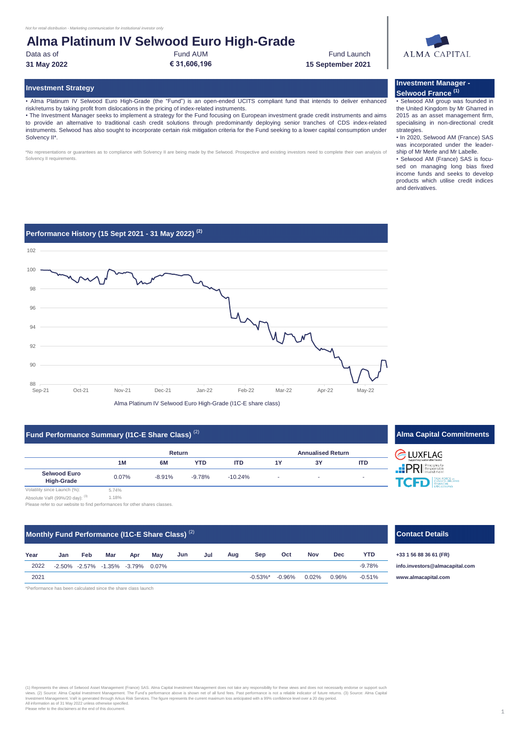Data as of Fund AUM **€ 31,606,196**

**31 May 2022 15 September 2021** Fund Launch

# **ALMA CAPITAL**

**Investment Manager - Selwood France (1)**

• Selwood AM group was founded in the United Kingdom by Mr Gharred in

income funds and seeks to develop products which utilise credit indices

and derivatives.

#### **Investment Strategy**

• Alma Platinum IV Selwood Euro High-Grade (the "Fund") is an open-ended UCITS compliant fund that intends to deliver enhanced risk/returns by taking profit from dislocations in the pricing of index-related instruments.

• The Investment Manager seeks to implement a strategy for the Fund focusing on European investment grade credit instruments and aims to provide an alternative to traditional cash credit solutions through predominantly deploying senior tranches of CDS index-related instruments. Selwood has also sought to incorporate certain risk mitigation criteria for the Fund seeking to a lower capital consumption under Solvency II\*.

\*No representations or guarantees as to compliance with Solvency II are being made by the Selwood. Prospective and existing investors need to complete their own analysis of Solvency II requirements



Alma Platinum IV Selwood Euro High-Grade (I1C-E share class)

### **Fund Performance Summary (I1C-E Share Class)**  $^{(2)}$  **Alma Capital Commitments Alma Capital Commitments**

|                                                                                                                 |       | <b>Return</b> |            |            | <b>Annualised Return</b> |    |            |
|-----------------------------------------------------------------------------------------------------------------|-------|---------------|------------|------------|--------------------------|----|------------|
|                                                                                                                 | 1M    | 6M            | <b>YTD</b> | <b>ITD</b> | 1Y                       | 3Υ | <b>ITD</b> |
| <b>Selwood Euro</b><br><b>High-Grade</b>                                                                        | 0.07% | $-8.91%$      | -9.78%     | $-10.24\%$ |                          |    |            |
| Volatility since Launch (%):<br>the contract of the contract of the contract of the contract of the contract of | 5.74% |               |            |            |                          |    |            |



Absolute VaR (99%/20 day): (3) 1.18% Please refer to our website to find performances for other shares classes.

### **Monthly Fund Performance (I1C-E Share Class)** (2)

| Year | Jan | Feb | Mar | Apr                               | Mav | Jun | Jul | Aug | Sep | Oct                   | <b>Nov</b> | Dec   | YTD.     |   |
|------|-----|-----|-----|-----------------------------------|-----|-----|-----|-----|-----|-----------------------|------------|-------|----------|---|
| 2022 |     |     |     | -2.50% -2.57% -1.35% -3.79% 0.07% |     |     |     |     |     |                       |            |       | $-9.78%$ |   |
| 2021 |     |     |     |                                   |     |     |     |     |     | $-0.53\%$ * $-0.96\%$ | $0.02\%$   | 0.96% | $-0.51%$ | W |

\*Performance has been calculated since the share class launch

#### 2015 as an asset management firm, specialising in non-directional credit strategies. • In 2020, Selwood AM (France) SAS was incorporated under the leadership of Mr Merle and Mr Labelle. • Selwood AM (France) SAS is focused on managing long bias fixed

**Contact Details**

**+33 1 56 88 36 61 (FR) [info.inv](mailto:info.investors@almacapital.com)estors@almacapital.com** 2021 -0.53%\* 0.02% **[www.a](http://www.almacapital.com/)lmacapital.com**

(1) Represents the views of Selwood Asset Management. (France) SAS. Alma Capital Investment Moanagement does not take any responsibility for these views and does not necessarily endorse or support such<br>views. (2) Source: A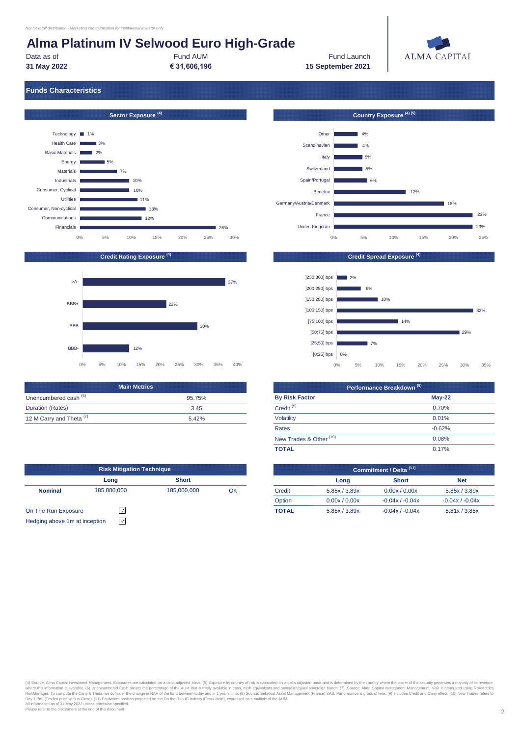Data as of Fund AUM **31 May 2022 € 31,606,196**

Fund Launch **15 September 2021**



### **Funds Characteristics**





|                                     | <b>Main Metrics</b> |
|-------------------------------------|---------------------|
| Unencumbered cash <sup>(6)</sup>    | 95.75%              |
| Duration (Rates)                    | 345                 |
| 12 M Carry and Theta <sup>(7)</sup> | 5.42%               |

|                               | <b>Risk Mitigation Technique</b> |              | Commitment / Delta <sup>(11)</sup> |              |               |                 |
|-------------------------------|----------------------------------|--------------|------------------------------------|--------------|---------------|-----------------|
|                               | Long                             | <b>Short</b> |                                    |              | Long          | <b>Short</b>    |
| <b>Nominal</b>                | 185,000,000                      | 185,000,000  | OK                                 | Credit       | 5.85x / 3.89x | 0.00x / 0.00    |
|                               |                                  |              |                                    | Option       | 0.00x / 0.00x | $-0.04x/ -0.04$ |
| On The Run Exposure           |                                  |              |                                    | <b>TOTAL</b> | 5.85x / 3.89x | $-0.04x/ -0.04$ |
| Hedging above 1m at inception | $\checkmark$                     |              |                                    |              |               |                 |

| Country Exposure <sup>(4)(5)</sup> |       |    |     |     |     |     |
|------------------------------------|-------|----|-----|-----|-----|-----|
|                                    |       |    |     |     |     |     |
| Other                              |       | 4% |     |     |     |     |
| Scandinavian                       |       | 4% |     |     |     |     |
| Italy                              |       | 5% |     |     |     |     |
| Switzerland                        |       | 5% |     |     |     |     |
| Spain/Portugal                     |       | 6% |     |     |     |     |
| Benelux                            |       |    |     | 12% |     |     |
| Germany/Austria/Denmark            |       |    |     |     | 18% |     |
| France                             |       |    |     |     |     | 23% |
| <b>United Kingdom</b>              |       |    |     |     |     | 23% |
|                                    | $0\%$ | 5% | 10% | 15% | 20% | 25% |



| <b>Main Metrics</b> |                                    | Performance Breakdown <sup>(8)</sup> |  |  |  |
|---------------------|------------------------------------|--------------------------------------|--|--|--|
| 95.75%              | <b>By Risk Factor</b>              | $May-22$                             |  |  |  |
| 3.45                | Credit <sup>(9)</sup>              | 0.70%                                |  |  |  |
| 5.42%               | Volatility                         | 0.01%                                |  |  |  |
|                     | Rates                              | $-0.62%$                             |  |  |  |
|                     | New Trades & Other <sup>(10)</sup> | 0.08%                                |  |  |  |
|                     | <b>TOTAL</b>                       | 0.17%                                |  |  |  |
|                     |                                    |                                      |  |  |  |

|              | Commitment / Delta <sup>(11)</sup> |                   |                   |  |  |  |  |
|--------------|------------------------------------|-------------------|-------------------|--|--|--|--|
|              | Long                               | <b>Short</b>      | <b>Net</b>        |  |  |  |  |
| Credit       | 5.85x / 3.89x                      | 0.00x / 0.00x     | 5.85x / 3.89x     |  |  |  |  |
| Option       | 0.00x / 0.00x                      | $-0.04x / -0.04x$ | $-0.04x / -0.04x$ |  |  |  |  |
| <b>TOTAL</b> | 5.85x/3.89x                        | $-0.04x / -0.04x$ | 5.81x / 3.85x     |  |  |  |  |

(4) Source: Alma Capital Investment Management. Exposures are calculated on a delta adjusted basis. (5) Exposure by country of risk is calculated on a delta adjusted basis and is determined by the country where the issuer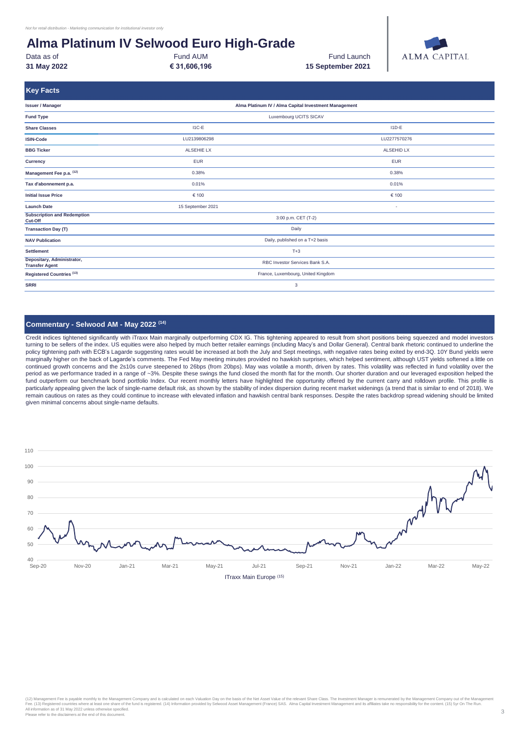Data as of **Fund AUM Fund AUM Example 20** Fund Launch **31 May 2022 € 31,606,196**

Fund AUM

**15 September 2021**



| <b>Key Facts</b>                                    |                                                       |                                    |  |  |  |  |  |
|-----------------------------------------------------|-------------------------------------------------------|------------------------------------|--|--|--|--|--|
| <b>Issuer / Manager</b>                             | Alma Platinum IV / Alma Capital Investment Management |                                    |  |  |  |  |  |
| <b>Fund Type</b>                                    |                                                       | Luxembourg UCITS SICAV             |  |  |  |  |  |
| <b>Share Classes</b>                                | I1C-E                                                 | $11D-E$                            |  |  |  |  |  |
| <b>ISIN-Code</b>                                    | LU2139806298                                          | LU2277570276                       |  |  |  |  |  |
| <b>BBG Ticker</b>                                   | <b>ALSEHIE LX</b>                                     | <b>ALSEHID LX</b>                  |  |  |  |  |  |
| Currency                                            | <b>EUR</b>                                            | <b>EUR</b>                         |  |  |  |  |  |
| Management Fee p.a. (12)                            | 0.38%                                                 | 0.38%                              |  |  |  |  |  |
| Tax d'abonnement p.a.                               | 0.01%                                                 | 0.01%                              |  |  |  |  |  |
| <b>Initial Issue Price</b>                          | € 100                                                 | € 100                              |  |  |  |  |  |
| <b>Launch Date</b>                                  | 15 September 2021                                     | ٠                                  |  |  |  |  |  |
| <b>Subscription and Redemption</b><br>Cut-Off       |                                                       | 3:00 p.m. CET (T-2)                |  |  |  |  |  |
| <b>Transaction Day (T)</b>                          |                                                       | Daily                              |  |  |  |  |  |
| <b>NAV Publication</b>                              |                                                       | Daily, published on a T+2 basis    |  |  |  |  |  |
| <b>Settlement</b>                                   | $T+3$                                                 |                                    |  |  |  |  |  |
| Depositary, Administrator,<br><b>Transfer Agent</b> | RBC Investor Services Bank S.A.                       |                                    |  |  |  |  |  |
| Registered Countries <sup>(13)</sup>                |                                                       | France, Luxembourg, United Kingdom |  |  |  |  |  |
| <b>SRRI</b>                                         | 3                                                     |                                    |  |  |  |  |  |

#### **Commentary - Selwood AM - May 2022 (14)**

Credit indices tightened significantly with iTraxx Main marginally outperforming CDX IG. This tightening appeared to result from short positions being squeezed and model investors turning to be sellers of the index. US equities were also helped by much better retailer earnings (including Macy's and Dollar General). Central bank rhetoric continued to underline the policy tightening path with ECB's Lagarde suggesting rates would be increased at both the July and Sept meetings, with negative rates being exited by end-3Q. 10Y Bund yields were marginally higher on the back of Lagarde's comments. The Fed May meeting minutes provided no hawkish surprises, which helped sentiment, although UST yields softened a little on continued growth concerns and the 2s10s curve steepened to 26bps (from 20bps). May was volatile a month, driven by rates. This volatility was reflected in fund volatility over the period as we performance traded in a range of ~3%. Despite these swings the fund closed the month flat for the month. Our shorter duration and our leveraged exposition helped the fund outperform our benchmark bond portfolio Index. Our recent monthly letters have highlighted the opportunity offered by the current carry and rolldown profile. This profile is particularly appealing given the lack of single-name default risk, as shown by the stability of index dispersion during recent market widenings (a trend that is similar to end of 2018). We remain cautious on rates as they could continue to increase with elevated inflation and hawkish central bank responses. Despite the rates backdrop spread widening should be limited given minimal concerns about single-name defaults.



(12) Management Fee is payable monthly to the Management Company and is calculated on each Valuation Day on the basis of the Net Asset Value of the relevant Share Class. The Investment Management are instrumented by the Ma